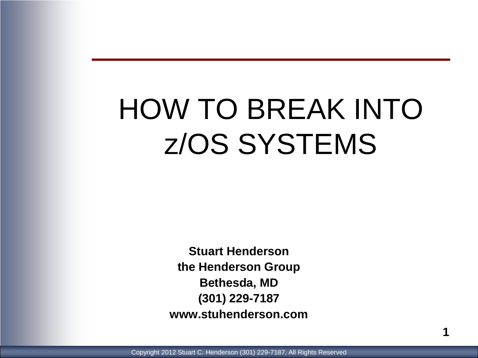# HOW TO BREAK INTO z/OS SYSTEMS

**Stuart Henderson the Henderson Group Bethesda, MD (301) 229-7187 www.stuhenderson.com**

Copyright 2012 Stuart C. Henderson (301) 229-7187, All Rights Reserved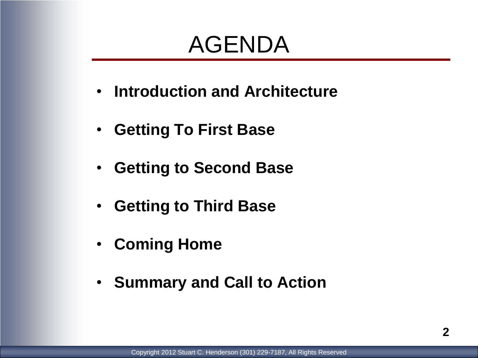## AGENDA

- **Introduction and Architecture**
- **Getting To First Base**
- **Getting to Second Base**
- **Getting to Third Base**
- **Coming Home**
- **Summary and Call to Action**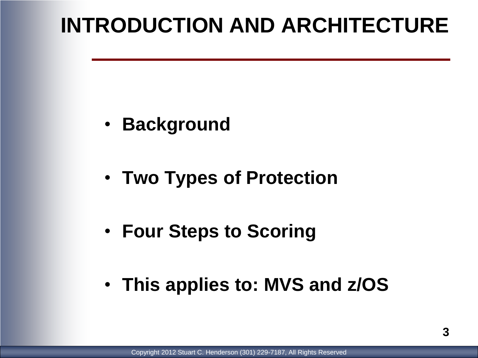### **INTRODUCTION AND ARCHITECTURE**

- **Background**
- **Two Types of Protection**
- **Four Steps to Scoring**
- **This applies to: MVS and z/OS**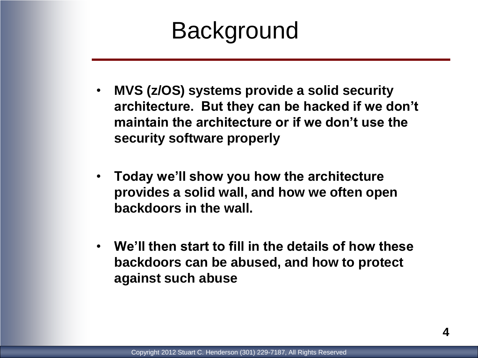### **Background**

- **MVS (z/OS) systems provide a solid security architecture. But they can be hacked if we don't maintain the architecture or if we don't use the security software properly**
- **Today we'll show you how the architecture provides a solid wall, and how we often open backdoors in the wall.**
- **We'll then start to fill in the details of how these backdoors can be abused, and how to protect against such abuse**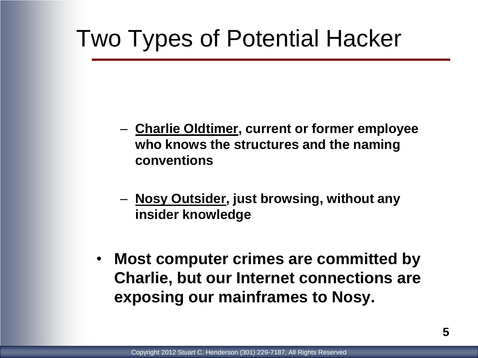## Two Types of Potential Hacker

- **Charlie Oldtimer, current or former employee who knows the structures and the naming conventions**
- **Nosy Outsider, just browsing, without any insider knowledge**
- **Most computer crimes are committed by Charlie, but our Internet connections are exposing our mainframes to Nosy.**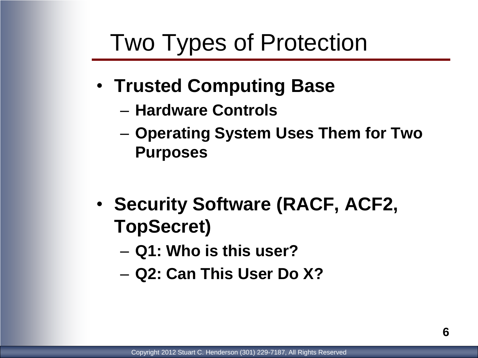### Two Types of Protection

- **Trusted Computing Base**
	- **Hardware Controls**
	- **Operating System Uses Them for Two Purposes**
- **Security Software (RACF, ACF2, TopSecret)**
	- **Q1: Who is this user?**
	- **Q2: Can This User Do X?**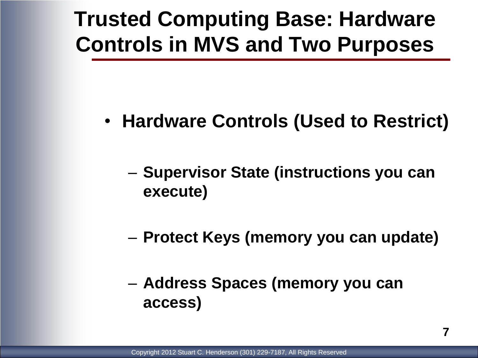### **Trusted Computing Base: Hardware Controls in MVS and Two Purposes**

- **Hardware Controls (Used to Restrict)**
	- **Supervisor State (instructions you can execute)**
	- **Protect Keys (memory you can update)**
	- **Address Spaces (memory you can access)**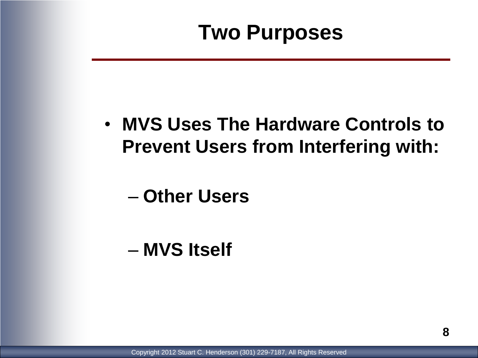### **Two Purposes**

#### • **MVS Uses The Hardware Controls to Prevent Users from Interfering with:**

#### – **Other Users**

#### – **MVS Itself**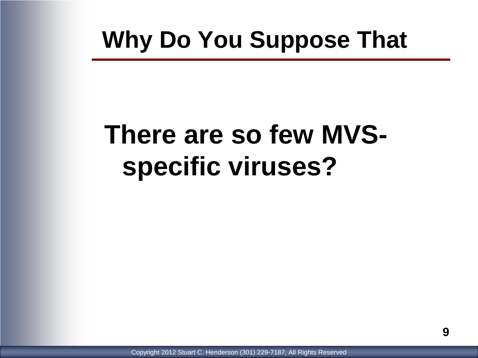## **Why Do You Suppose That**

# **There are so few MVSspecific viruses?**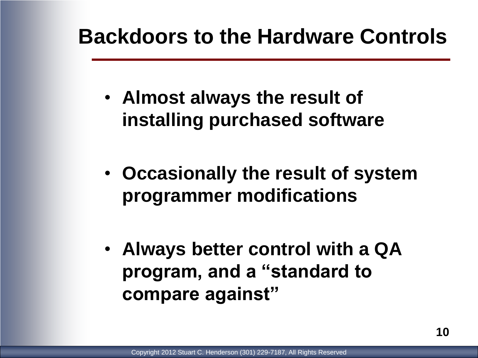#### **Backdoors to the Hardware Controls**

- **Almost always the result of installing purchased software**
- **Occasionally the result of system programmer modifications**
- **Always better control with a QA program, and a "standard to compare against"**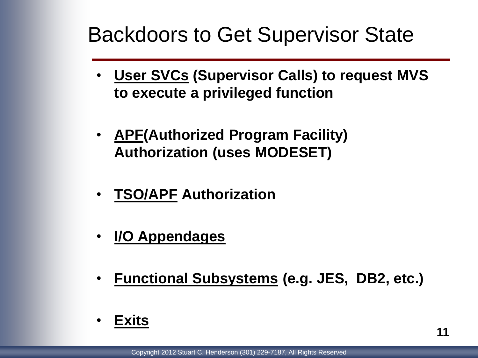#### Backdoors to Get Supervisor State

- **User SVCs (Supervisor Calls) to request MVS to execute a privileged function**
- **APF(Authorized Program Facility) Authorization (uses MODESET)**
- **TSO/APF Authorization**
- **I/O Appendages**
- **Functional Subsystems (e.g. JES, DB2, etc.)**
- **Exits**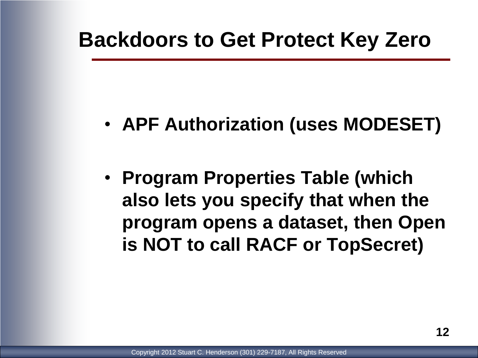#### **Backdoors to Get Protect Key Zero**

- **APF Authorization (uses MODESET)**
- **Program Properties Table (which also lets you specify that when the program opens a dataset, then Open is NOT to call RACF or TopSecret)**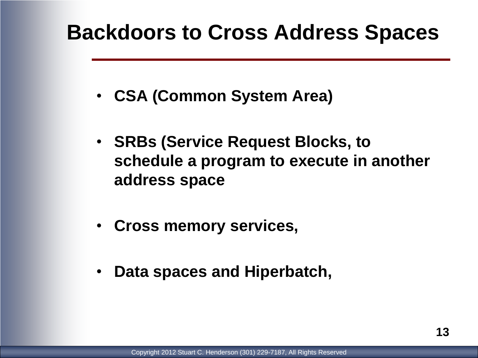#### **Backdoors to Cross Address Spaces**

- **CSA (Common System Area)**
- **SRBs (Service Request Blocks, to schedule a program to execute in another address space**
- **Cross memory services,**
- **Data spaces and Hiperbatch,**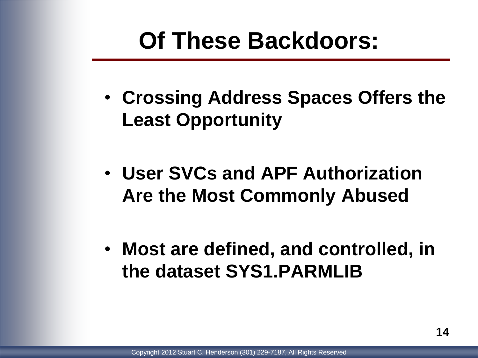### **Of These Backdoors:**

- **Crossing Address Spaces Offers the Least Opportunity**
- **User SVCs and APF Authorization Are the Most Commonly Abused**
- **Most are defined, and controlled, in the dataset SYS1.PARMLIB**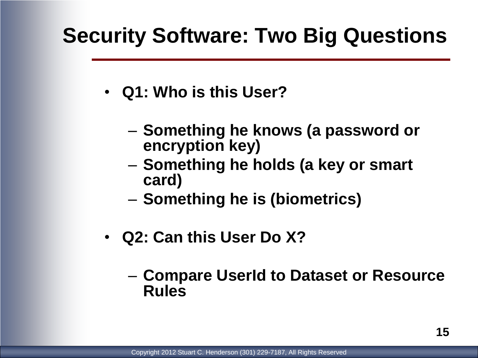#### **Security Software: Two Big Questions**

- **Q1: Who is this User?**
	- **Something he knows (a password or encryption key)**
	- **Something he holds (a key or smart card)**
	- **Something he is (biometrics)**
- **Q2: Can this User Do X?**
	- **Compare UserId to Dataset or Resource Rules**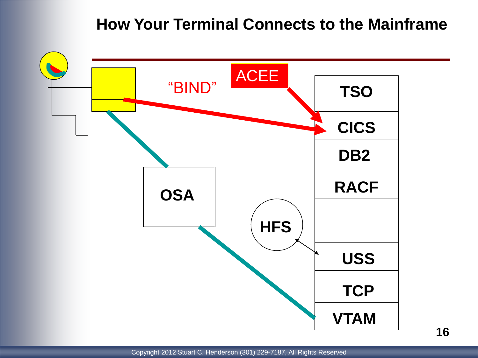#### **How Your Terminal Connects to the Mainframe**

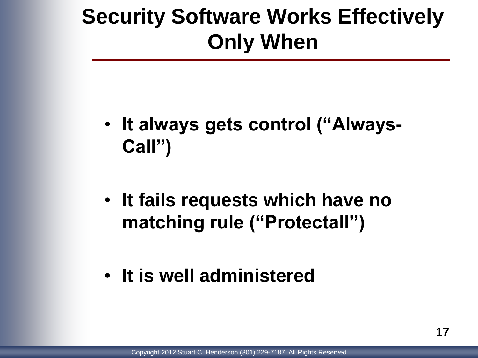### **Security Software Works Effectively Only When**

- **It always gets control ("Always-Call")**
- **It fails requests which have no matching rule ("Protectall")**
- **It is well administered**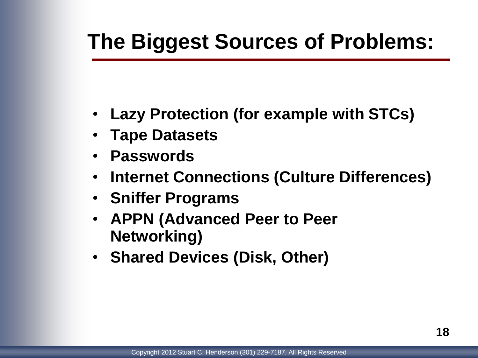### **The Biggest Sources of Problems:**

- **Lazy Protection (for example with STCs)**
- **Tape Datasets**
- **Passwords**
- **Internet Connections (Culture Differences)**
- **Sniffer Programs**
- **APPN (Advanced Peer to Peer Networking)**
- **Shared Devices (Disk, Other)**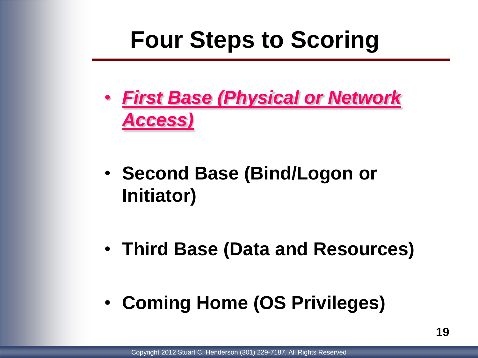## **Four Steps to Scoring**

- *First Base (Physical or Network Access)*
- **Second Base (Bind/Logon or Initiator)**
- **Third Base (Data and Resources)**
- **Coming Home (OS Privileges)**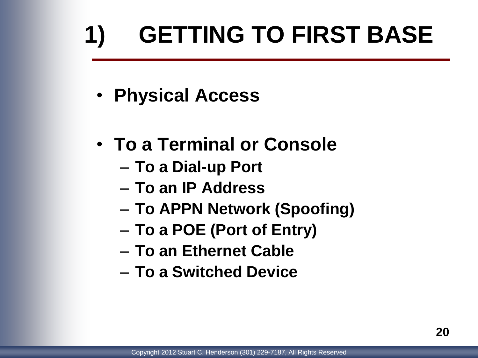# **1) GETTING TO FIRST BASE**

- **Physical Access**
- **To a Terminal or Console**
	- **To a Dial-up Port**
	- **To an IP Address**
	- **To APPN Network (Spoofing)**
	- **To a POE (Port of Entry)**
	- **To an Ethernet Cable**
	- **To a Switched Device**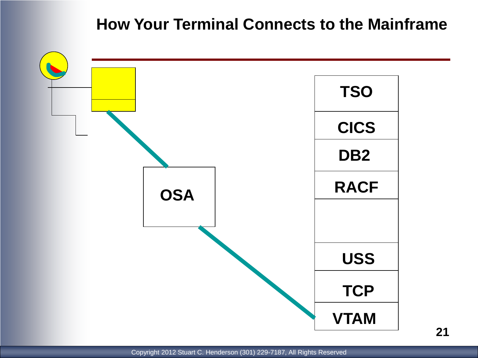#### **How Your Terminal Connects to the Mainframe**

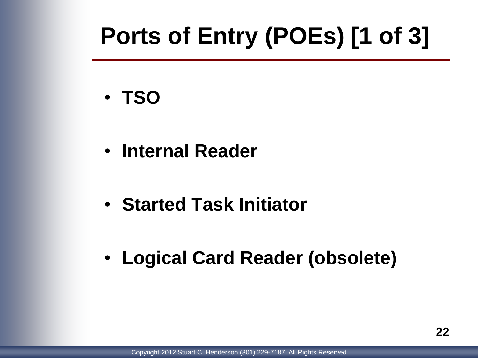## **Ports of Entry (POEs) [1 of 3]**

- **TSO**
- **Internal Reader**
- **Started Task Initiator**
- **Logical Card Reader (obsolete)**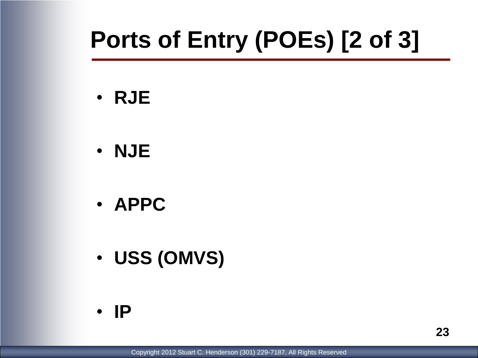## **Ports of Entry (POEs) [2 of 3]**

- **RJE**
- **NJE**
- **APPC**
- **USS (OMVS)**
- **IP**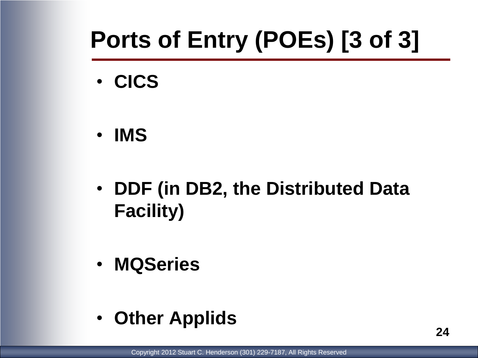## **Ports of Entry (POEs) [3 of 3]**

- **CICS**
- **IMS**
- **DDF (in DB2, the Distributed Data Facility)**
- **MQSeries**
- **Other Applids**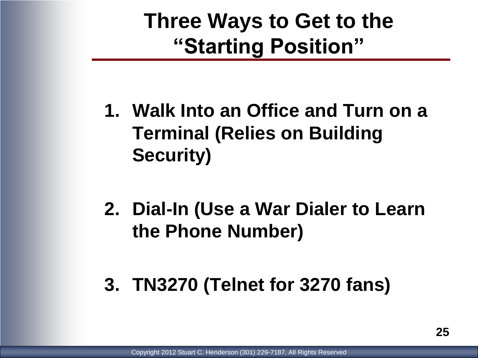### **Three Ways to Get to the "Starting Position"**

- **1. Walk Into an Office and Turn on a Terminal (Relies on Building Security)**
- **2. Dial-In (Use a War Dialer to Learn the Phone Number)**
- **3. TN3270 (Telnet for 3270 fans)**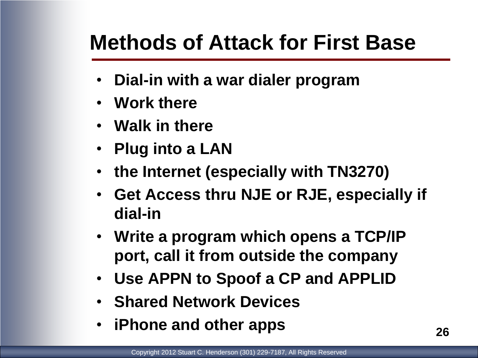### **Methods of Attack for First Base**

- **Dial-in with a war dialer program**
- **Work there**
- **Walk in there**
- **Plug into a LAN**
- **the Internet (especially with TN3270)**
- **Get Access thru NJE or RJE, especially if dial-in**
- **Write a program which opens a TCP/IP port, call it from outside the company**
- **Use APPN to Spoof a CP and APPLID**
- **Shared Network Devices**
- **iPhone and other apps**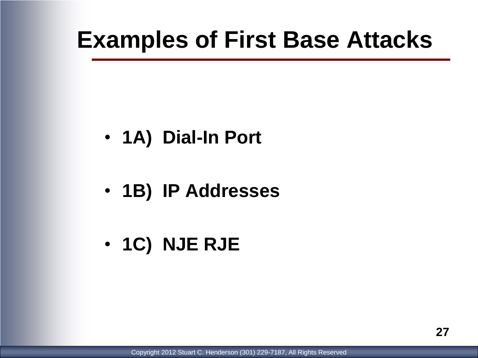### **Examples of First Base Attacks**

- **1A) Dial-In Port**
- **1B) IP Addresses**
- **1C) NJE RJE**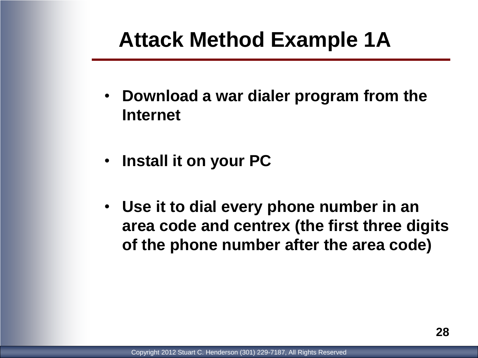### **Attack Method Example 1A**

- **Download a war dialer program from the Internet**
- **Install it on your PC**
- **Use it to dial every phone number in an area code and centrex (the first three digits of the phone number after the area code)**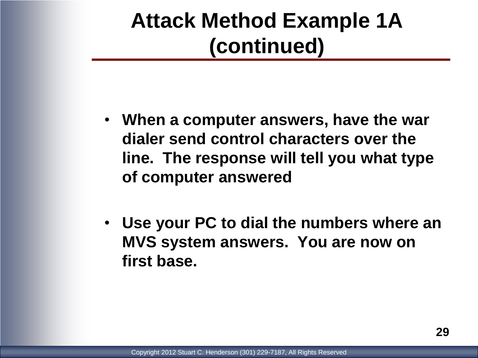### **Attack Method Example 1A (continued)**

- **When a computer answers, have the war dialer send control characters over the line. The response will tell you what type of computer answered**
- **Use your PC to dial the numbers where an MVS system answers. You are now on first base.**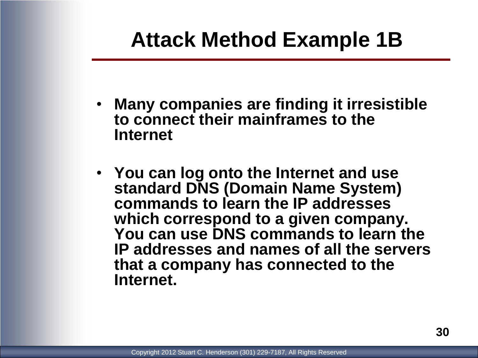### **Attack Method Example 1B**

- **Many companies are finding it irresistible to connect their mainframes to the Internet**
- **You can log onto the Internet and use standard DNS (Domain Name System) commands to learn the IP addresses which correspond to a given company. You can use DNS commands to learn the IP addresses and names of all the servers that a company has connected to the Internet.**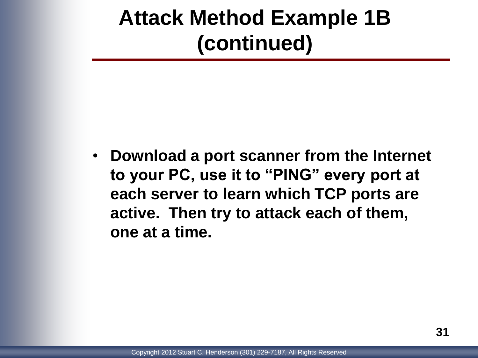### **Attack Method Example 1B (continued)**

• **Download a port scanner from the Internet to your PC, use it to "PING" every port at each server to learn which TCP ports are active. Then try to attack each of them, one at a time.**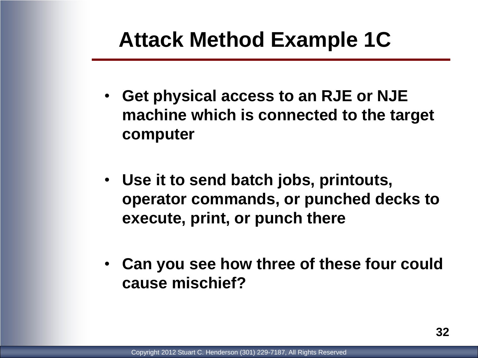### **Attack Method Example 1C**

- **Get physical access to an RJE or NJE machine which is connected to the target computer**
- **Use it to send batch jobs, printouts, operator commands, or punched decks to execute, print, or punch there**
- **Can you see how three of these four could cause mischief?**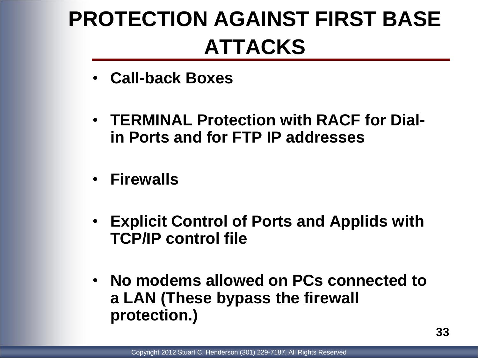## **PROTECTION AGAINST FIRST BASE ATTACKS**

- **Call-back Boxes**
- **TERMINAL Protection with RACF for Dialin Ports and for FTP IP addresses**
- **Firewalls**
- **Explicit Control of Ports and Applids with TCP/IP control file**
- **No modems allowed on PCs connected to a LAN (These bypass the firewall protection.)**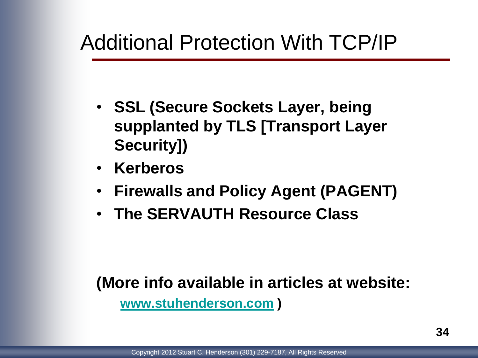### Additional Protection With TCP/IP

- **SSL (Secure Sockets Layer, being supplanted by TLS [Transport Layer Security])**
- **Kerberos**
- **Firewalls and Policy Agent (PAGENT)**
- **The SERVAUTH Resource Class**

#### **(More info available in articles at website:**

**[www.stuhenderson.com](http://www.stuhenderson.com/) )**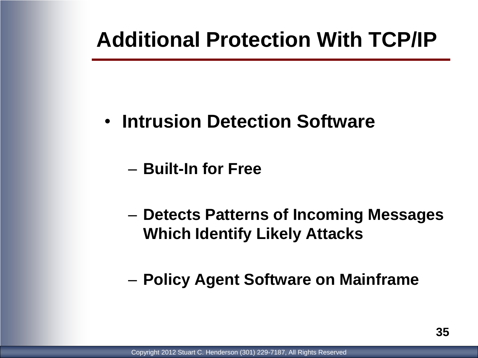### **Additional Protection With TCP/IP**

- **Intrusion Detection Software**
	- **Built-In for Free**
	- **Detects Patterns of Incoming Messages Which Identify Likely Attacks**
	- **Policy Agent Software on Mainframe**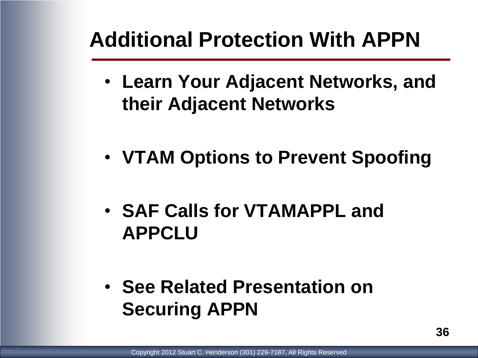### **Additional Protection With APPN**

- **Learn Your Adjacent Networks, and their Adjacent Networks**
- **VTAM Options to Prevent Spoofing**
- **SAF Calls for VTAMAPPL and APPCLU**
- **See Related Presentation on Securing APPN**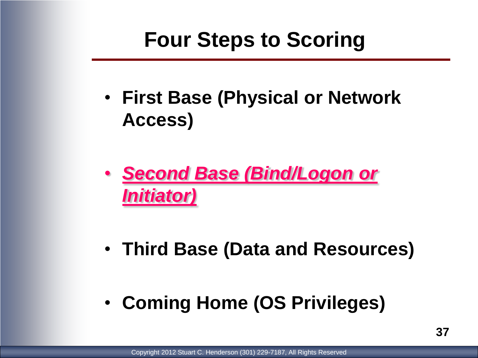### **Four Steps to Scoring**

- **First Base (Physical or Network Access)**
- *Second Base (Bind/Logon or Initiator)*
- **Third Base (Data and Resources)**
- **Coming Home (OS Privileges)**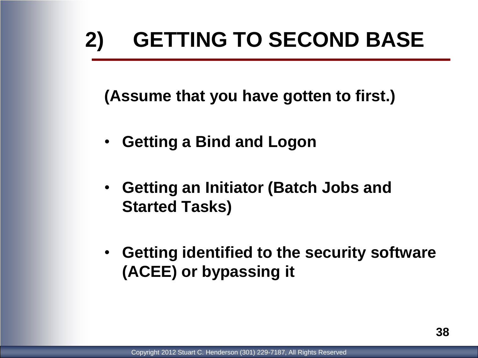## **2) GETTING TO SECOND BASE**

**(Assume that you have gotten to first.)**

- **Getting a Bind and Logon**
- **Getting an Initiator (Batch Jobs and Started Tasks)**
- **Getting identified to the security software (ACEE) or bypassing it**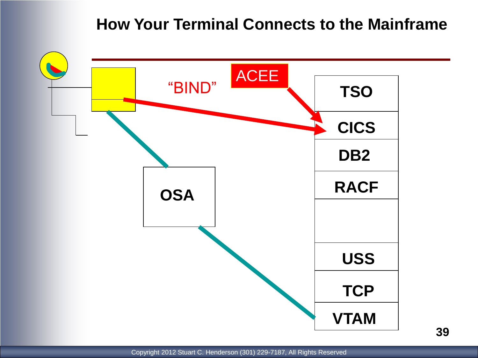#### **How Your Terminal Connects to the Mainframe**

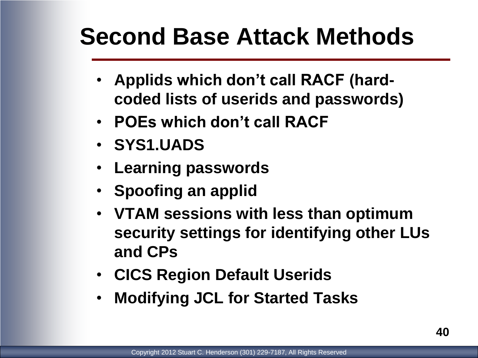## **Second Base Attack Methods**

- **Applids which don't call RACF (hardcoded lists of userids and passwords)**
- **POEs which don't call RACF**
- **SYS1.UADS**
- **Learning passwords**
- **Spoofing an applid**
- **VTAM sessions with less than optimum security settings for identifying other LUs and CPs**
- **CICS Region Default Userids**
- **Modifying JCL for Started Tasks**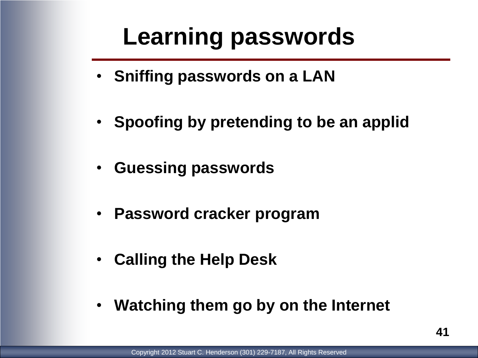## **Learning passwords**

- **Sniffing passwords on a LAN**
- **Spoofing by pretending to be an applid**
- **Guessing passwords**
- **Password cracker program**
- **Calling the Help Desk**
- **Watching them go by on the Internet**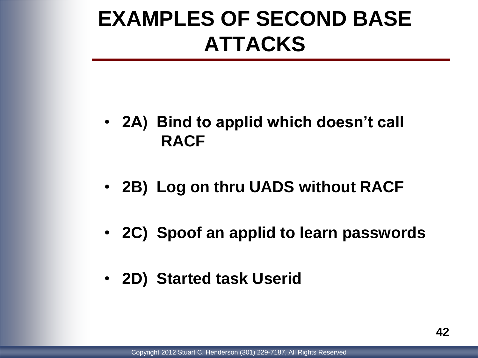### **EXAMPLES OF SECOND BASE ATTACKS**

- **2A) Bind to applid which doesn't call RACF**
- **2B) Log on thru UADS without RACF**
- **2C) Spoof an applid to learn passwords**
- **2D) Started task Userid**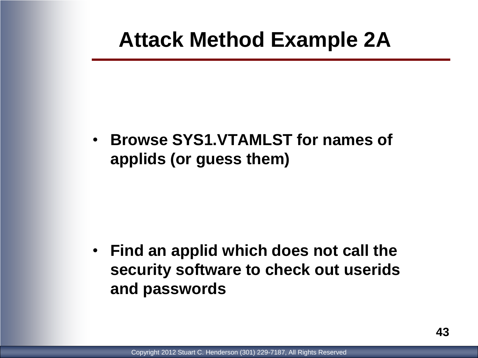#### **Attack Method Example 2A**

• **Browse SYS1.VTAMLST for names of applids (or guess them)**

• **Find an applid which does not call the security software to check out userids and passwords**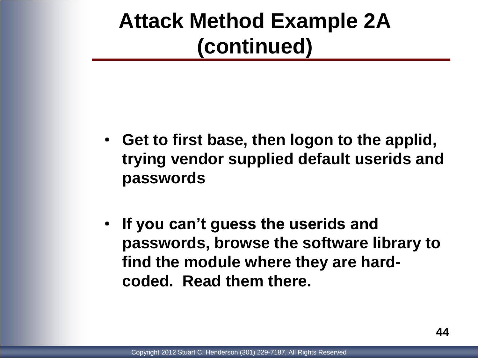#### **Attack Method Example 2A (continued)**

- **Get to first base, then logon to the applid, trying vendor supplied default userids and passwords**
- **If you can't guess the userids and passwords, browse the software library to find the module where they are hardcoded. Read them there.**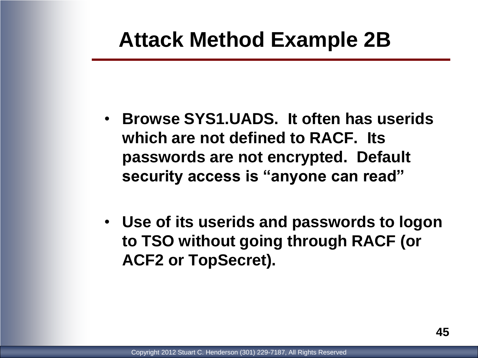#### **Attack Method Example 2B**

- **Browse SYS1.UADS. It often has userids which are not defined to RACF. Its passwords are not encrypted. Default security access is "anyone can read"**
- **Use of its userids and passwords to logon to TSO without going through RACF (or ACF2 or TopSecret).**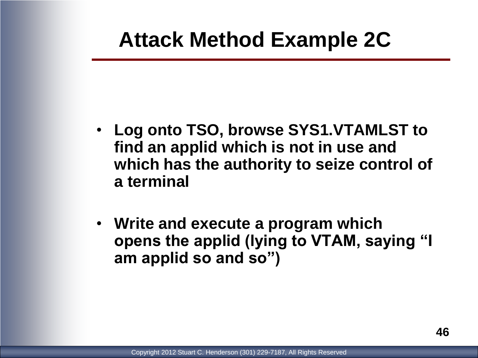#### **Attack Method Example 2C**

- **Log onto TSO, browse SYS1.VTAMLST to find an applid which is not in use and which has the authority to seize control of a terminal**
- **Write and execute a program which opens the applid (lying to VTAM, saying "I am applid so and so")**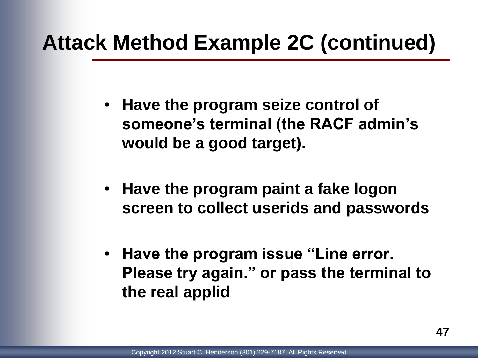#### **Attack Method Example 2C (continued)**

- **Have the program seize control of someone's terminal (the RACF admin's would be a good target).**
- **Have the program paint a fake logon screen to collect userids and passwords**
- **Have the program issue "Line error. Please try again." or pass the terminal to the real applid**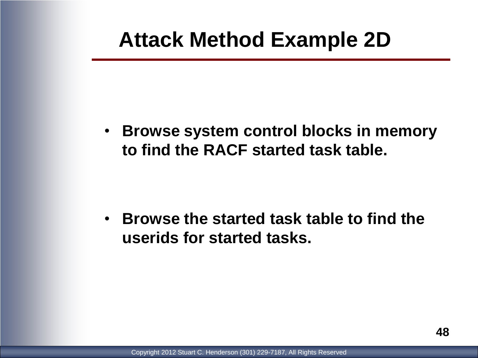#### **Attack Method Example 2D**

• **Browse system control blocks in memory to find the RACF started task table.**

• **Browse the started task table to find the userids for started tasks.**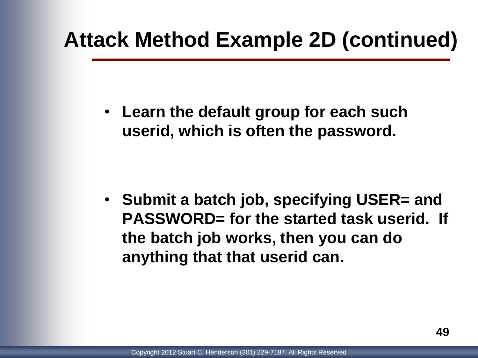#### **Attack Method Example 2D (continued)**

• **Learn the default group for each such userid, which is often the password.**

• **Submit a batch job, specifying USER= and PASSWORD= for the started task userid. If the batch job works, then you can do anything that that userid can.**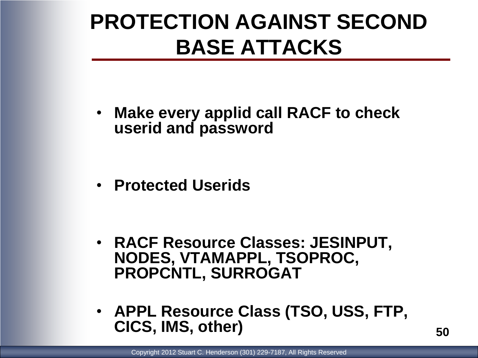### **PROTECTION AGAINST SECOND BASE ATTACKS**

• **Make every applid call RACF to check userid and password**

• **Protected Userids**

- **RACF Resource Classes: JESINPUT, NODES, VTAMAPPL, TSOPROC, PROPCNTL, SURROGAT**
- **APPL Resource Class (TSO, USS, FTP, CICS, IMS, other)**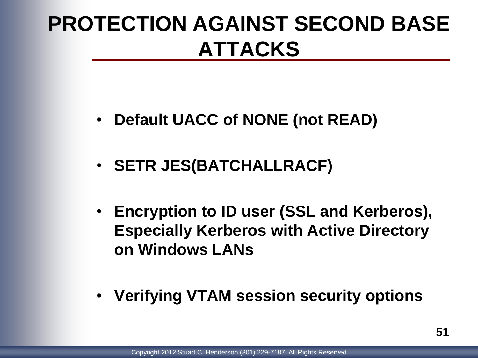## **PROTECTION AGAINST SECOND BASE ATTACKS**

- **Default UACC of NONE (not READ)**
- **SETR JES(BATCHALLRACF)**
- **Encryption to ID user (SSL and Kerberos), Especially Kerberos with Active Directory on Windows LANs**
- **Verifying VTAM session security options**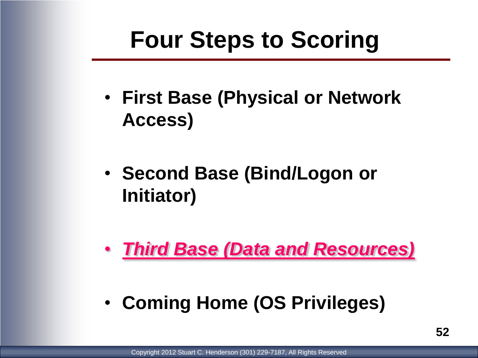## **Four Steps to Scoring**

- **First Base (Physical or Network Access)**
- **Second Base (Bind/Logon or Initiator)**
- *Third Base (Data and Resources)*
- **Coming Home (OS Privileges)**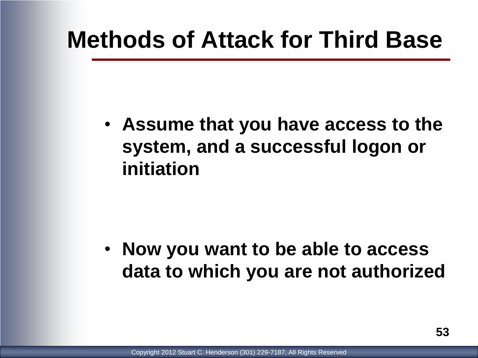## **Methods of Attack for Third Base**

• **Assume that you have access to the system, and a successful logon or initiation**

• **Now you want to be able to access data to which you are not authorized**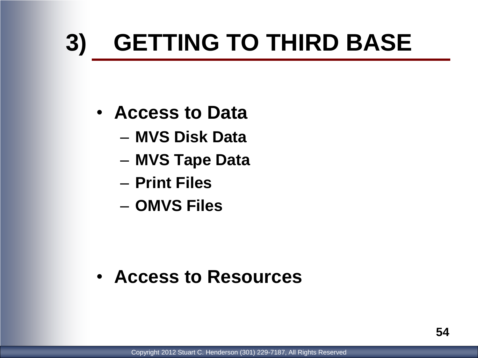# **3) GETTING TO THIRD BASE**

- **Access to Data**
	- **MVS Disk Data**
	- **MVS Tape Data**
	- **Print Files**
	- **OMVS Files**

• **Access to Resources**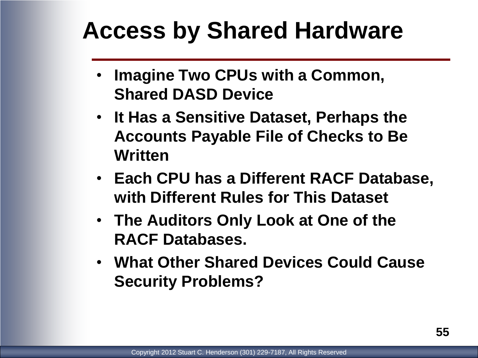## **Access by Shared Hardware**

- **Imagine Two CPUs with a Common, Shared DASD Device**
- **It Has a Sensitive Dataset, Perhaps the Accounts Payable File of Checks to Be Written**
- **Each CPU has a Different RACF Database, with Different Rules for This Dataset**
- **The Auditors Only Look at One of the RACF Databases.**
- **What Other Shared Devices Could Cause Security Problems?**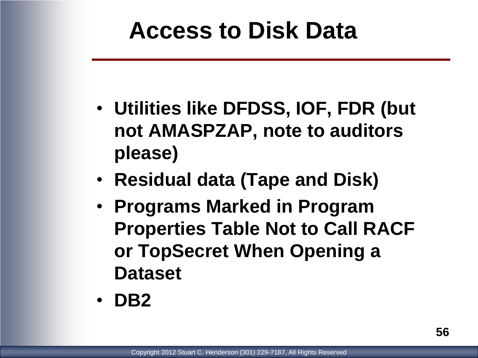## **Access to Disk Data**

- **Utilities like DFDSS, IOF, FDR (but not AMASPZAP, note to auditors please)**
- **Residual data (Tape and Disk)**
- **Programs Marked in Program Properties Table Not to Call RACF or TopSecret When Opening a Dataset**
- **DB2**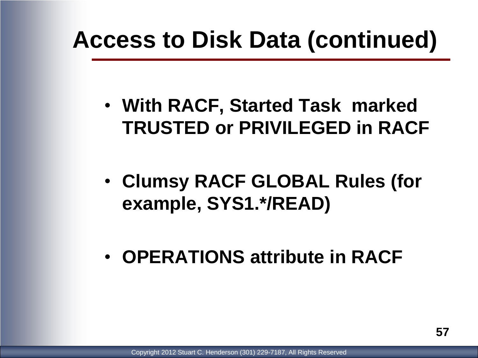## **Access to Disk Data (continued)**

- **With RACF, Started Task marked TRUSTED or PRIVILEGED in RACF**
- **Clumsy RACF GLOBAL Rules (for example, SYS1.\*/READ)**
- **OPERATIONS attribute in RACF**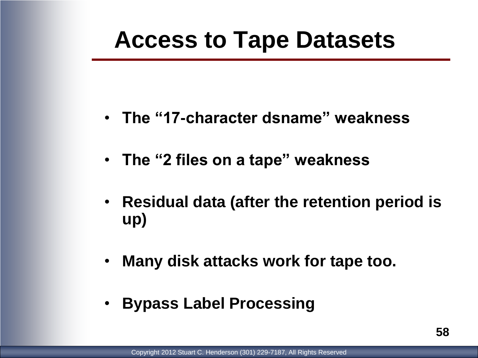## **Access to Tape Datasets**

- **The "17-character dsname" weakness**
- **The "2 files on a tape" weakness**
- **Residual data (after the retention period is up)**
- **Many disk attacks work for tape too.**
- **Bypass Label Processing**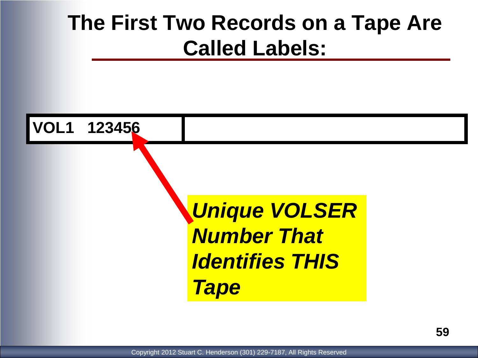#### **The First Two Records on a Tape Are Called Labels:**

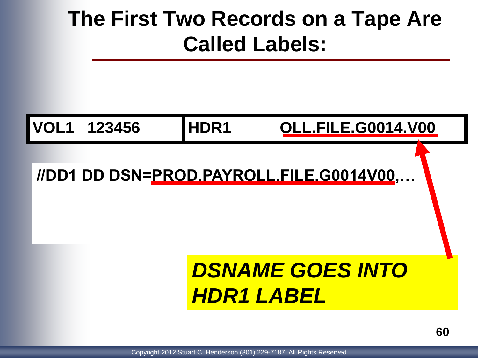### **The First Two Records on a Tape Are Called Labels:**

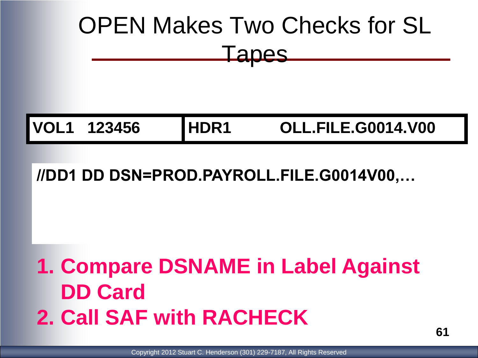# OPEN Makes Two Checks for SL Tapes

**VOL1 123456 HDR1 OLL.FILE.G0014.V00**

#### **//DD1 DD DSN=PROD.PAYROLL.FILE.G0014V00,…**

## **1. Compare DSNAME in Label Against DD Card 2. Call SAF with RACHECK**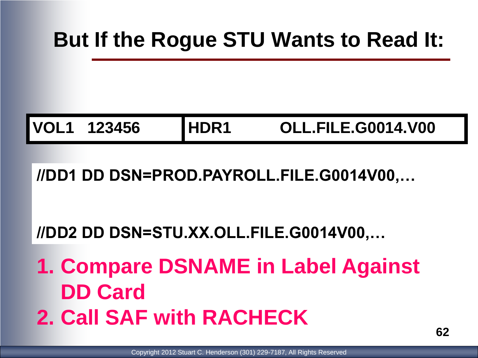#### **But If the Rogue STU Wants to Read It:**

**VOL1 123456 HDR1 OLL.FILE.G0014.V00**

#### **//DD1 DD DSN=PROD.PAYROLL.FILE.G0014V00,…**

#### **//DD2 DD DSN=STU.XX.OLL.FILE.G0014V00,…**

**1. Compare DSNAME in Label Against DD Card 2. Call SAF with RACHECK**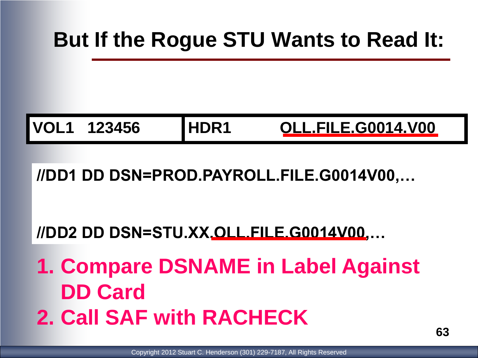#### **But If the Rogue STU Wants to Read It:**

**VOL1 123456 HDR1 OLL.FILE.G0014.V00**

**//DD1 DD DSN=PROD.PAYROLL.FILE.G0014V00,…**

**//DD2 DD DSN=STU.XX.OLL.FILE.G0014V00,…**

**1. Compare DSNAME in Label Against DD Card 2. Call SAF with RACHECK**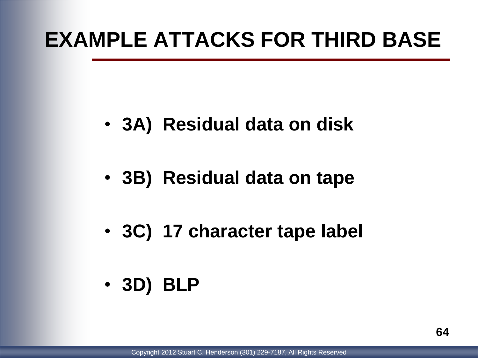#### **EXAMPLE ATTACKS FOR THIRD BASE**

- **3A) Residual data on disk**
- **3B) Residual data on tape**
- **3C) 17 character tape label**
- **3D) BLP**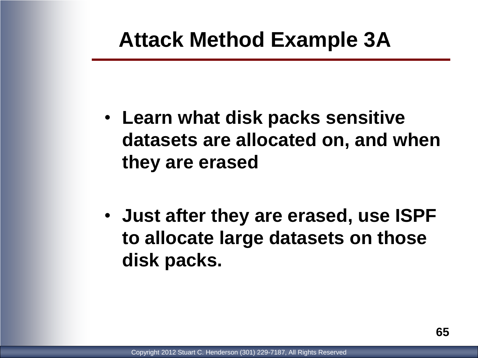#### **Attack Method Example 3A**

- **Learn what disk packs sensitive datasets are allocated on, and when they are erased**
- **Just after they are erased, use ISPF to allocate large datasets on those disk packs.**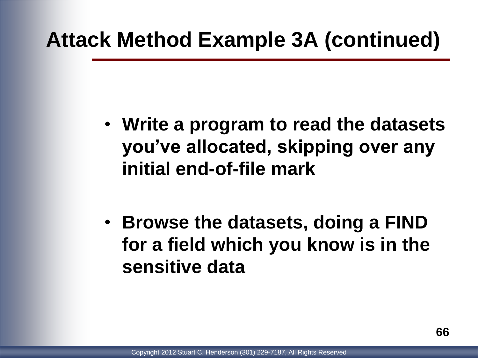#### **Attack Method Example 3A (continued)**

- **Write a program to read the datasets you've allocated, skipping over any initial end-of-file mark**
- **Browse the datasets, doing a FIND for a field which you know is in the sensitive data**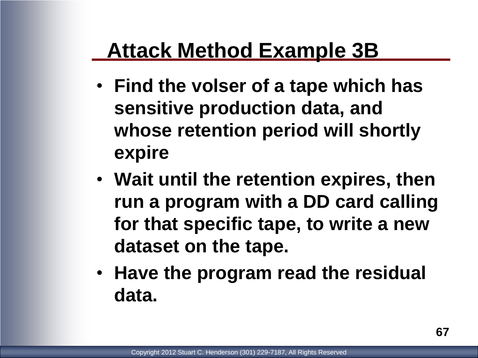#### **Attack Method Example 3B**

- **Find the volser of a tape which has sensitive production data, and whose retention period will shortly expire**
- **Wait until the retention expires, then run a program with a DD card calling for that specific tape, to write a new dataset on the tape.**
- **Have the program read the residual data.**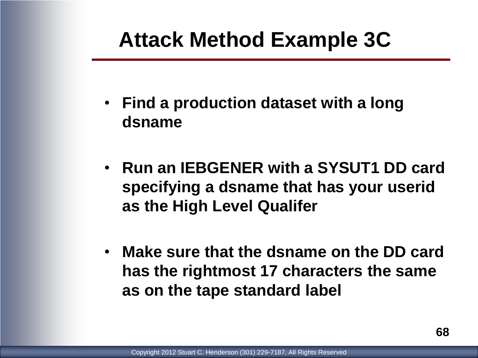#### **Attack Method Example 3C**

- **Find a production dataset with a long dsname**
- **Run an IEBGENER with a SYSUT1 DD card specifying a dsname that has your userid as the High Level Qualifer**
- **Make sure that the dsname on the DD card has the rightmost 17 characters the same as on the tape standard label**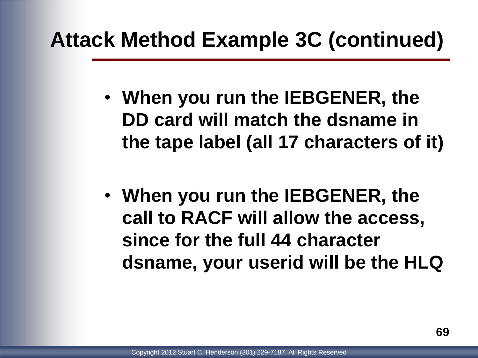#### **Attack Method Example 3C (continued)**

- **When you run the IEBGENER, the DD card will match the dsname in the tape label (all 17 characters of it)**
- **When you run the IEBGENER, the call to RACF will allow the access, since for the full 44 character dsname, your userid will be the HLQ**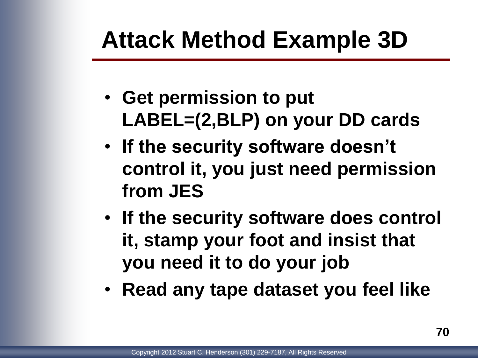## **Attack Method Example 3D**

- **Get permission to put LABEL=(2,BLP) on your DD cards**
- **If the security software doesn't control it, you just need permission from JES**
- **If the security software does control it, stamp your foot and insist that you need it to do your job**
- **Read any tape dataset you feel like**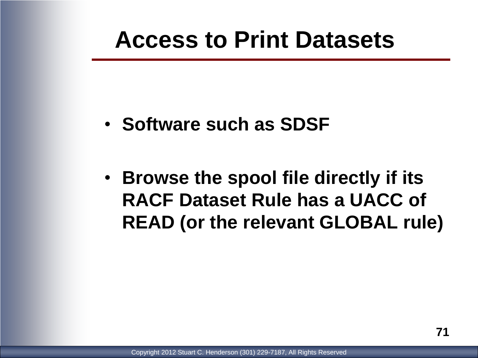### **Access to Print Datasets**

- **Software such as SDSF**
- **Browse the spool file directly if its RACF Dataset Rule has a UACC of READ (or the relevant GLOBAL rule)**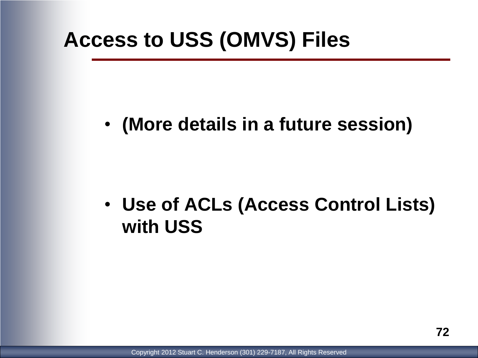#### **Access to USS (OMVS) Files**

#### • **(More details in a future session)**

#### • **Use of ACLs (Access Control Lists) with USS**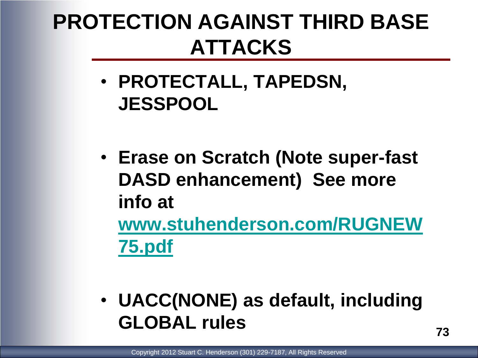# **PROTECTION AGAINST THIRD BASE ATTACKS**

- **PROTECTALL, TAPEDSN, JESSPOOL**
- **Erase on Scratch (Note super-fast DASD enhancement) See more info at**

**[www.stuhenderson.com/RUGNEW](http://www.stuhenderson.com/RUGNEW75.pdf) [75.pdf](http://www.stuhenderson.com/RUGNEW75.pdf)**

• **UACC(NONE) as default, including GLOBAL rules**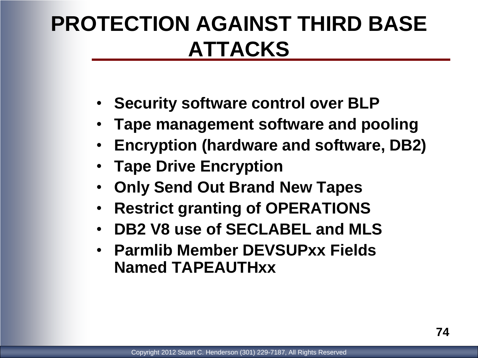## **PROTECTION AGAINST THIRD BASE ATTACKS**

- **Security software control over BLP**
- **Tape management software and pooling**
- **Encryption (hardware and software, DB2)**
- **Tape Drive Encryption**
- **Only Send Out Brand New Tapes**
- **Restrict granting of OPERATIONS**
- **DB2 V8 use of SECLABEL and MLS**
- **Parmlib Member DEVSUPxx Fields Named TAPEAUTHxx**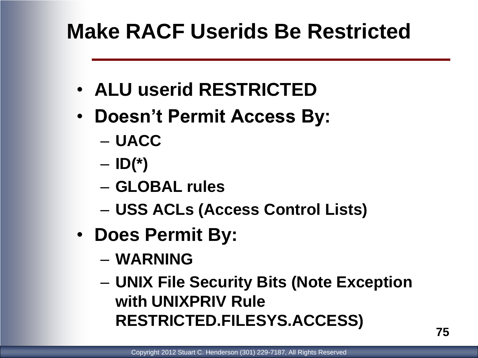### **Make RACF Userids Be Restricted**

- **ALU userid RESTRICTED**
- **Doesn't Permit Access By:**
	- **UACC**
	- **ID(\*)**
	- **GLOBAL rules**
	- **USS ACLs (Access Control Lists)**
- **Does Permit By:**
	- **WARNING**
	- **UNIX File Security Bits (Note Exception with UNIXPRIV Rule RESTRICTED.FILESYS.ACCESS)**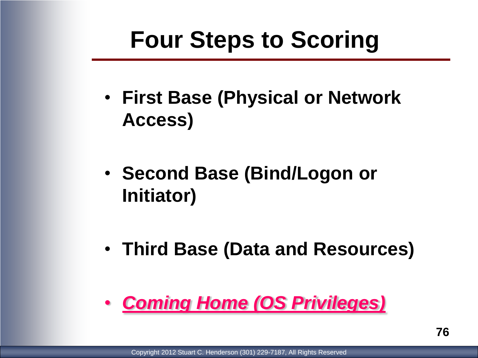# **Four Steps to Scoring**

- **First Base (Physical or Network Access)**
- **Second Base (Bind/Logon or Initiator)**
- **Third Base (Data and Resources)**

#### • *Coming Home (OS Privileges)*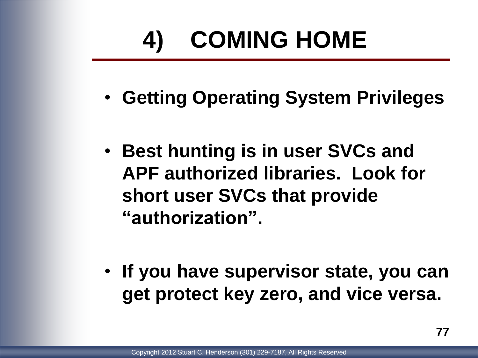# **4) COMING HOME**

- **Getting Operating System Privileges**
- **Best hunting is in user SVCs and APF authorized libraries. Look for short user SVCs that provide "authorization".**
- **If you have supervisor state, you can get protect key zero, and vice versa.**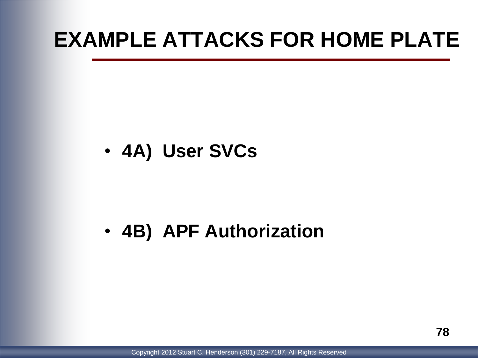#### **EXAMPLE ATTACKS FOR HOME PLATE**

• **4A) User SVCs**

#### • **4B) APF Authorization**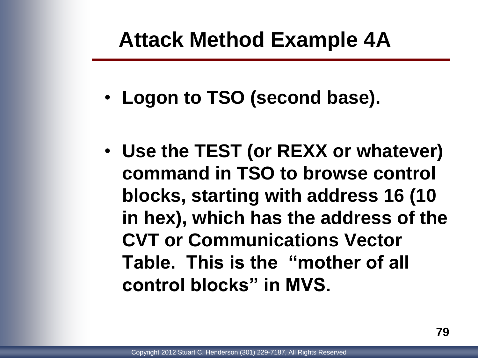#### **Attack Method Example 4A**

- **Logon to TSO (second base).**
- **Use the TEST (or REXX or whatever) command in TSO to browse control blocks, starting with address 16 (10 in hex), which has the address of the CVT or Communications Vector Table. This is the "mother of all control blocks" in MVS.**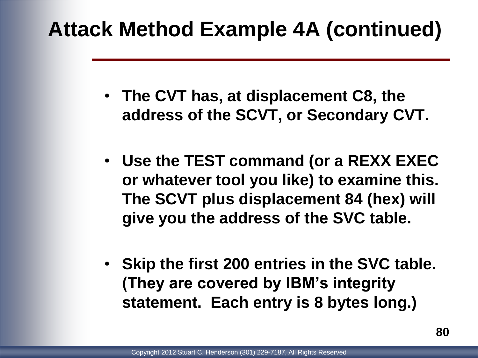- **The CVT has, at displacement C8, the address of the SCVT, or Secondary CVT.**
- **Use the TEST command (or a REXX EXEC or whatever tool you like) to examine this. The SCVT plus displacement 84 (hex) will give you the address of the SVC table.**
- **Skip the first 200 entries in the SVC table. (They are covered by IBM's integrity statement. Each entry is 8 bytes long.)**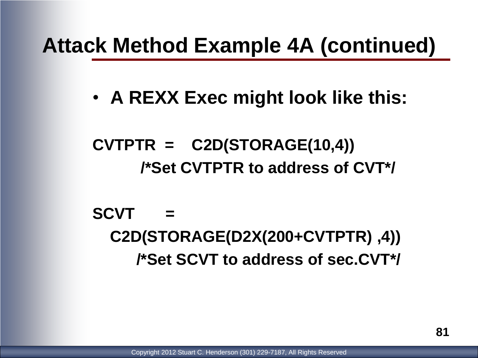• **A REXX Exec might look like this:**

**CVTPTR = C2D(STORAGE(10,4)) /\*Set CVTPTR to address of CVT\*/**

**SCVT = C2D(STORAGE(D2X(200+CVTPTR) ,4)) /\*Set SCVT to address of sec.CVT\*/**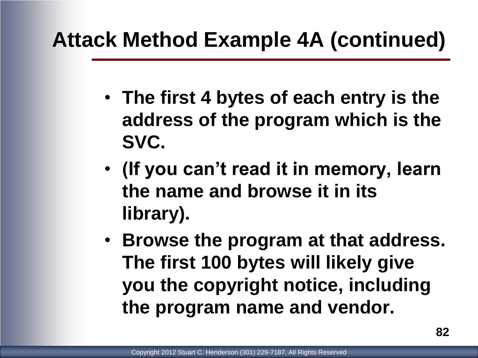- **The first 4 bytes of each entry is the address of the program which is the SVC.**
- **(If you can't read it in memory, learn the name and browse it in its library).**
- **Browse the program at that address. The first 100 bytes will likely give you the copyright notice, including the program name and vendor.**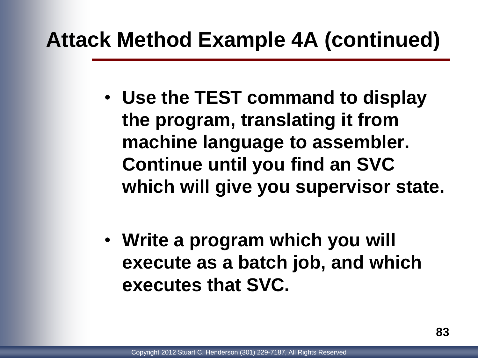- **Use the TEST command to display the program, translating it from machine language to assembler. Continue until you find an SVC which will give you supervisor state.**
- **Write a program which you will execute as a batch job, and which executes that SVC.**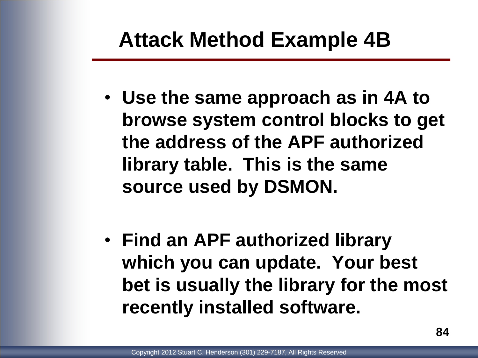#### **Attack Method Example 4B**

- **Use the same approach as in 4A to browse system control blocks to get the address of the APF authorized library table. This is the same source used by DSMON.**
- **Find an APF authorized library which you can update. Your best bet is usually the library for the most recently installed software.**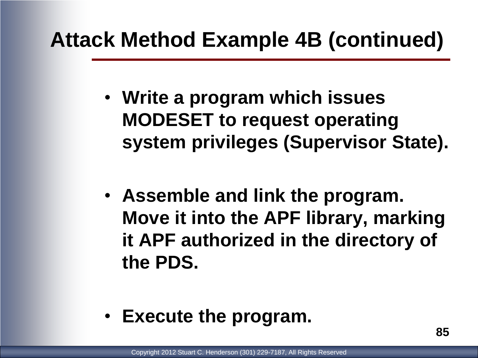- **Write a program which issues MODESET to request operating system privileges (Supervisor State).**
- **Assemble and link the program. Move it into the APF library, marking it APF authorized in the directory of the PDS.**
- **Execute the program.**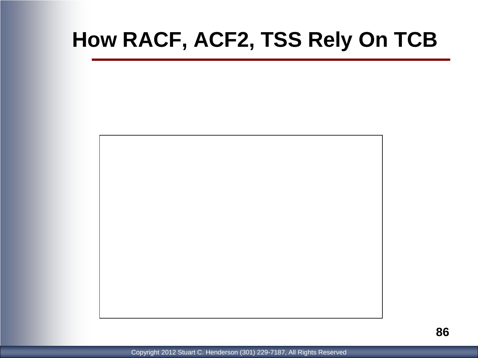#### **How RACF, ACF2, TSS Rely On TCB**

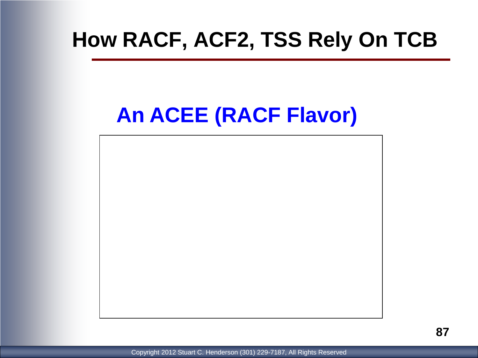#### **How RACF, ACF2, TSS Rely On TCB**

### **An ACEE (RACF Flavor)**

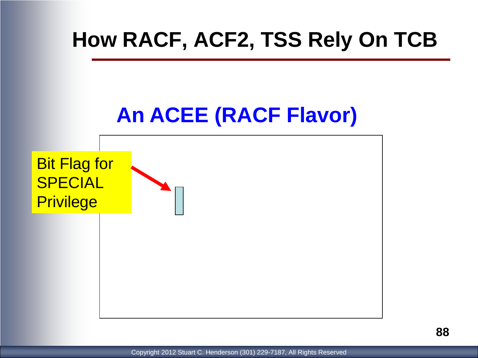#### **How RACF, ACF2, TSS Rely On TCB**

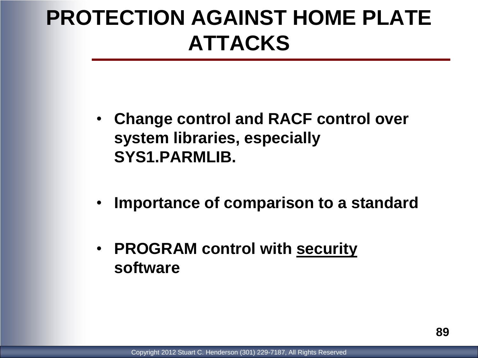## **PROTECTION AGAINST HOME PLATE ATTACKS**

- **Change control and RACF control over system libraries, especially SYS1.PARMLIB.**
- **Importance of comparison to a standard**
- **PROGRAM control with security software**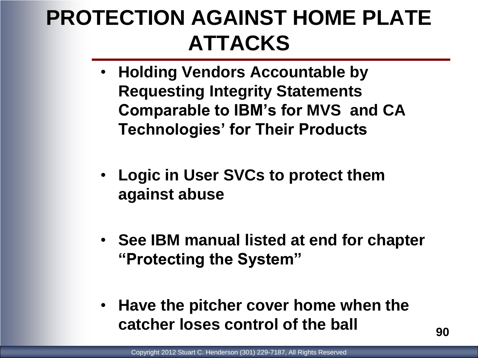## **PROTECTION AGAINST HOME PLATE ATTACKS**

- **Holding Vendors Accountable by Requesting Integrity Statements Comparable to IBM's for MVS and CA Technologies' for Their Products**
- **Logic in User SVCs to protect them against abuse**
- **See IBM manual listed at end for chapter "Protecting the System"**
- **Have the pitcher cover home when the catcher loses control of the ball**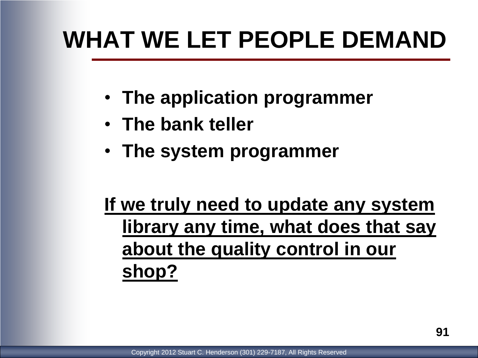# **WHAT WE LET PEOPLE DEMAND**

- **The application programmer**
- **The bank teller**
- **The system programmer**

#### **If we truly need to update any system library any time, what does that say about the quality control in our shop?**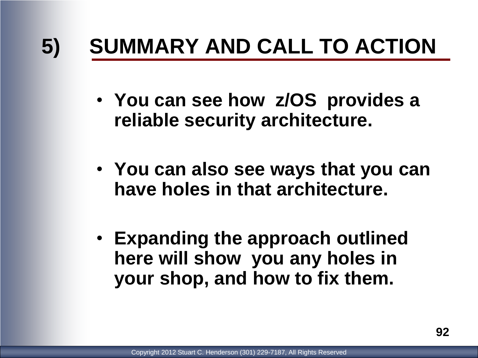# **5) SUMMARY AND CALL TO ACTION**

- **You can see how z/OS provides a reliable security architecture.**
- **You can also see ways that you can have holes in that architecture.**
- **Expanding the approach outlined here will show you any holes in your shop, and how to fix them.**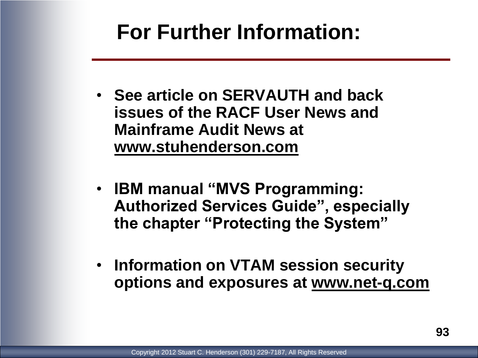#### **For Further Information:**

- **See article on SERVAUTH and back issues of the RACF User News and Mainframe Audit News at www.stuhenderson.com**
- **IBM manual "MVS Programming: Authorized Services Guide", especially the chapter "Protecting the System"**
- **Information on VTAM session security options and exposures at www.net-q.com**